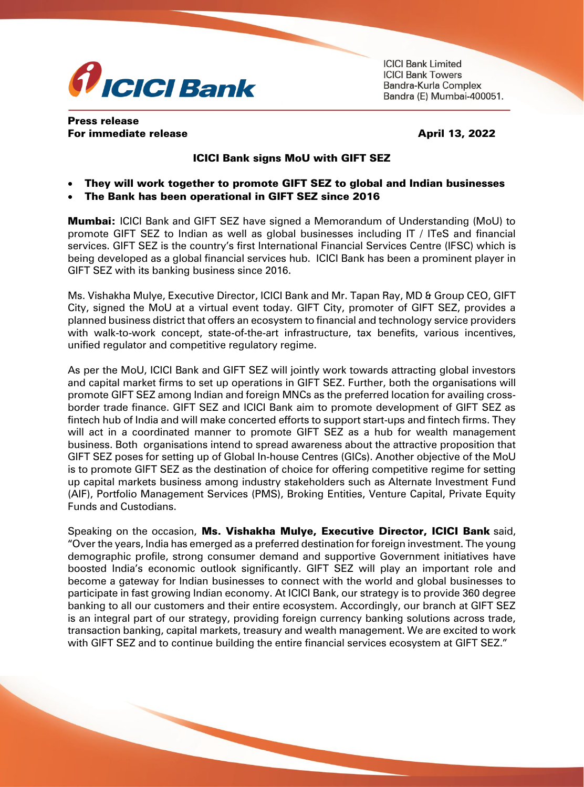

**ICICI Bank Limited ICICI Bank Towers** Bandra-Kurla Complex Bandra (E) Mumbai-400051.

## Press release For immediate release April 13, 2022

## ICICI Bank signs MoU with GIFT SEZ

- They will work together to promote GIFT SEZ to global and Indian businesses
- The Bank has been operational in GIFT SEZ since 2016

**Mumbai:** ICICI Bank and GIFT SEZ have signed a Memorandum of Understanding (MoU) to promote GIFT SEZ to Indian as well as global businesses including IT / ITeS and financial services. GIFT SEZ is the country's first International Financial Services Centre (IFSC) which is being developed as a global financial services hub. ICICI Bank has been a prominent player in GIFT SEZ with its banking business since 2016.

Ms. Vishakha Mulye, Executive Director, ICICI Bank and Mr. Tapan Ray, MD & Group CEO, GIFT City, signed the MoU at a virtual event today. GIFT City, promoter of GIFT SEZ, provides a planned business district that offers an ecosystem to financial and technology service providers with walk-to-work concept, state-of-the-art infrastructure, tax benefits, various incentives, unified regulator and competitive regulatory regime.

As per the MoU, ICICI Bank and GIFT SEZ will jointly work towards attracting global investors and capital market firms to set up operations in GIFT SEZ. Further, both the organisations will promote GIFT SEZ among Indian and foreign MNCs as the preferred location for availing crossborder trade finance. GIFT SEZ and ICICI Bank aim to promote development of GIFT SEZ as fintech hub of India and will make concerted efforts to support start-ups and fintech firms. They will act in a coordinated manner to promote GIFT SEZ as a hub for wealth management business. Both organisations intend to spread awareness about the attractive proposition that GIFT SEZ poses for setting up of Global In-house Centres (GICs). Another objective of the MoU is to promote GIFT SEZ as the destination of choice for offering competitive regime for setting up capital markets business among industry stakeholders such as Alternate Investment Fund (AIF), Portfolio Management Services (PMS), Broking Entities, Venture Capital, Private Equity Funds and Custodians.

Speaking on the occasion, Ms. Vishakha Mulye, Executive Director, ICICI Bank said, "Over the years, India has emerged as a preferred destination for foreign investment. The young demographic profile, strong consumer demand and supportive Government initiatives have boosted India's economic outlook significantly. GIFT SEZ will play an important role and become a gateway for Indian businesses to connect with the world and global businesses to participate in fast growing Indian economy. At ICICI Bank, our strategy is to provide 360 degree banking to all our customers and their entire ecosystem. Accordingly, our branch at GIFT SEZ is an integral part of our strategy, providing foreign currency banking solutions across trade, transaction banking, capital markets, treasury and wealth management. We are excited to work with GIFT SEZ and to continue building the entire financial services ecosystem at GIFT SEZ."